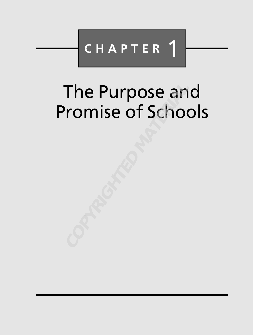**CHAPTER** 1

# The Purpose and **Promise of Schools**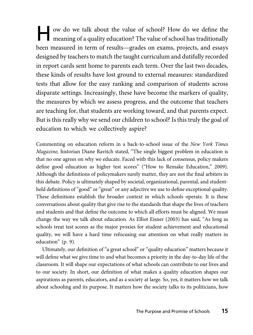How do we talk about the value of school? How do we define the meaning of a quality education? The value of school has traditionally been measured in term of results—grades on exams, projects, and essays designed by teachers to match the taught curriculum and dutifully recorded in report cards sent home to parents each term. Over the last two decades, these kinds of results have lost ground to external measures: standardized tests that allow for the easy ranking and comparison of students across disparate settings. Increasingly, these have become the markers of quality, the measures by which we assess progress, and the outcome that teachers are teaching for, that students are working toward, and that parents expect. But is this really why we send our children to school? Is this truly the goal of education to which we collectively aspire?

Commenting on education reform in a back-to-school issue of the New York Times Magazine, historian Diane Ravitch stated, "The single biggest problem in education is that no one agrees on why we educate. Faced with this lack of consensus, policy makers define good education as higher test scores" ("How to Remake Education," 2009). Although the definitions of policymakers surely matter, they are not the final arbiters in this debate. Policy is ultimately shaped by societal, organizational, parental, and studentheld definitions of "good" or "great" or any adjective we use to define exceptional quality. These definitions establish the broader context in which schools operate. It is these conversations about quality that give rise to the standards that shape the lives of teachers and students and that define the outcome to which all efforts must be aligned. We must change the way we talk about education. As Elliot Eisner (2003) has said, "As long as schools treat test scores as the major proxies for student achievement and educational quality, we will have a hard time refocusing our attention on what really matters in education" (p. 9).

Ultimately, our definition of "a great school" or "quality education" matters because it will define what we give time to and what becomes a priority in the day-to-day life of the classroom. It will shape our expectations of what schools can contribute to our lives and to our society. In short, our definition of what makes a quality education shapes our aspirations as parents, educators, and as a society at large. So, yes, it matters how we talk about schooling and its purpose. It matters how the society talks to its politicians, how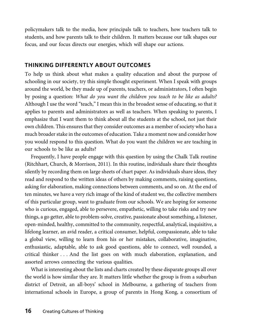policymakers talk to the media, how principals talk to teachers, how teachers talk to students, and how parents talk to their children. It matters because our talk shapes our focus, and our focus directs our energies, which will shape our actions.

#### **THINKING DIFFERENTLY ABOUT OUTCOMES**

To help us think about what makes a quality education and about the purpose of schooling in our society, try this simple thought experiment. When I speak with groups around the world, be they made up of parents, teachers, or administrators, I often begin by posing a question: What do you want the children you teach to be like as adults? Although I use the word "teach," I mean this in the broadest sense of educating, so that it applies to parents and administrators as well as teachers. When speaking to parents, I emphasize that I want them to think about all the students at the school, not just their own children. This ensures that they consider outcomes as a member of society who has a much broader stake in the outcomes of education. Take a moment now and consider how you would respond to this question. What do you want the children we are teaching in our schools to be like as adults?

Frequently, I have people engage with this question by using the Chalk Talk routine (Ritchhart, Church, & Morrison, 2011). In this routine, individuals share their thoughts silently by recording them on large sheets of chart paper. As individuals share ideas, they read and respond to the written ideas of others by making comments, raising questions, asking for elaboration, making connections between comments, and so on. At the end of ten minutes, we have a very rich image of the kind of student we, the collective members of this particular group, want to graduate from our schools. We are hoping for someone who is curious, engaged, able to persevere, empathetic, willing to take risks and try new things, a go getter, able to problem-solve, creative, passionate about something, a listener, open-minded, healthy, committed to the community, respectful, analytical, inquisitive, a lifelong learner, an avid reader, a critical consumer, helpful, compassionate, able to take a global view, willing to learn from his or her mistakes, collaborative, imaginative, enthusiastic, adaptable, able to ask good questions, able to connect, well rounded, a critical thinker . . . And the list goes on with much elaboration, explanation, and assorted arrows connecting the various qualities.

What is interesting about the lists and charts created by these disparate groups all over the world is how similar they are. It matters little whether the group is from a suburban district of Detroit, an all-boys' school in Melbourne, a gathering of teachers from international schools in Europe, a group of parents in Hong Kong, a consortium of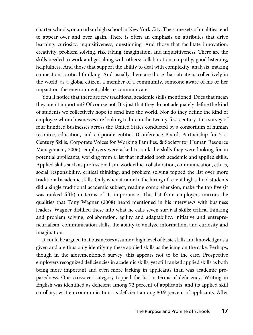charter schools, or an urban high school in New York City. The same sets of qualities tend to appear over and over again. There is often an emphasis on attributes that drive learning: curiosity, inquisitiveness, questioning. And those that facilitate innovation: creativity, problem solving, risk taking, imagination, and inquisitiveness. There are the skills needed to work and get along with others: collaboration, empathy, good listening, helpfulness. And those that support the ability to deal with complexity: analysis, making connections, critical thinking. And usually there are those that situate us collectively in the world: as a global citizen, a member of a community, someone aware of his or her impact on the environment, able to communicate.

You'll notice that there are few traditional academic skills mentioned. Does that mean they aren't important? Of course not. It's just that they do not adequately define the kind of students we collectively hope to send into the world. Nor do they define the kind of employee whom businesses are looking to hire in the twenty-first century. In a survey of four hundred businesses across the United States conducted by a consortium of human resource, education, and corporate entities (Conference Board, Partnership for 21st Century Skills, Corporate Voices for Working Families, & Society for Human Resource Management, 2006), employers were asked to rank the skills they were looking for in potential applicants, working from a list that included both academic and applied skills. Applied skills such as professionalism, work ethic, collaboration, communication, ethics, social responsibility, critical thinking, and problem solving topped the list over more traditional academic skills. Only when it came to the hiring of recent high school students did a single traditional academic subject, reading comprehension, make the top five (it was ranked fifth) in terms of its importance. This list from employers mirrors the qualities that Tony Wagner (2008) heard mentioned in his interviews with business leaders. Wagner distilled these into what he calls seven survival skills: critical thinking and problem solving, collaboration, agility and adaptability, initiative and entrepreneurialism, communication skills, the ability to analyze information, and curiosity and imagination.

It could be argued that businesses assume a high level of basic skills and knowledge as a given and are thus only identifying these applied skills as the icing on the cake. Perhaps, though in the aforementioned survey, this appears not to be the case. Prospective employers recognized deficiencies in academic skills, yet still ranked applied skills as both being more important and even more lacking in applicants than was academic preparedness. One crossover category topped the list in terms of deficiency. Writing in English was identified as deficient among 72 percent of applicants, and its applied skill corollary, written communication, as deficient among 80.9 percent of applicants. After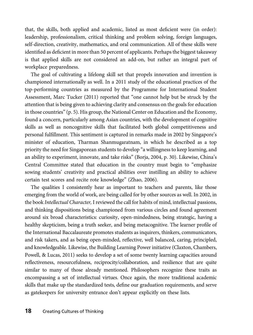that, the skills, both applied and academic, listed as most deficient were (in order): leadership, professionalism, critical thinking and problem solving, foreign languages, self-direction, creativity, mathematics, and oral communication. All of these skills were identified as deficient in more than 50 percent of applicants. Perhaps the biggest takeaway is that applied skills are not considered an add-on, but rather an integral part of workplace preparedness.

The goal of cultivating a lifelong skill set that propels innovation and invention is championed internationally as well. In a 2011 study of the educational practices of the top-performing countries as measured by the Programme for International Student Assessment, Marc Tucker (2011) reported that "one cannot help but be struck by the attention that is being given to achieving clarity and consensus on the goals for education in those countries"(p. 5). His group, the National Center on Education and the Economy, found a concern, particularly among Asian countries, with the development of cognitive skills as well as noncognitive skills that facilitated both global competitiveness and personal fulfillment. This sentiment is captured in remarks made in 2002 by Singapore's minister of education, Tharman Shanmugaratnam, in which he described as a top priority the need for Singaporean students to develop "a willingness to keep learning, and an ability to experiment, innovate, and take risks" (Borja, 2004, p. 30). Likewise, China's Central Committee stated that education in the country must begin to "emphasize sowing students' creativity and practical abilities over instilling an ability to achieve certain test scores and recite rote knowledge" (Zhao, 2006).

The qualities I consistently hear as important to teachers and parents, like those emerging from the world of work, are being called for by other sources as well. In 2002, in the book Intellectual Character, I reviewed the call for habits of mind, intellectual passions, and thinking dispositions being championed from various circles and found agreement around six broad characteristics: curiosity, open-mindedness, being strategic, having a healthy skepticism, being a truth seeker, and being metacognitive. The learner profile of the International Baccalaureate promotes students as inquirers, thinkers, communicators, and risk takers, and as being open-minded, reflective, well balanced, caring, principled, and knowledgeable. Likewise, the Building Learning Power initiative (Claxton, Chambers, Powell, & Lucas, 2011) seeks to develop a set of some twenty learning capacities around reflectiveness, resourcefulness, reciprocity/collaboration, and resilience that are quite similar to many of those already mentioned. Philosophers recognize these traits as encompassing a set of intellectual virtues. Once again, the more traditional academic skills that make up the standardized tests, define our graduation requirements, and serve as gatekeepers for university entrance don't appear explicitly on these lists.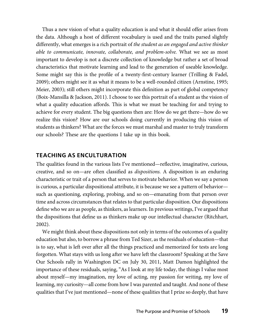Thus a new vision of what a quality education is and what it should offer arises from the data. Although a host of different vocabulary is used and the traits parsed slightly differently, what emerges is a rich portrait of the student as an engaged and active thinker able to communicate, innovate, collaborate, and problem-solve. What we see as most important to develop is not a discrete collection of knowledge but rather a set of broad characteristics that motivate learning and lead to the generation of useable knowledge. Some might say this is the profile of a twenty-first-century learner (Trilling & Fadel, 2009); others might see it as what it means to be a well-rounded citizen (Arnstine, 1995; Meier, 2003); still others might incorporate this definition as part of global competency (Boix-Mansilla & Jackson, 2011). I choose to see this portrait of a student as the vision of what a quality education affords. This is what we must be teaching for and trying to achieve for every student. The big questions then are: How do we get there—how do we realize this vision? How are our schools doing currently in producing this vision of students as thinkers? What are the forces we must marshal and master to truly transform our schools? These are the questions I take up in this book.

#### **TEACHING AS ENCULTURATION**

The qualities found in the various lists I've mentioned—reflective, imaginative, curious, creative, and so on—are often classified as dispositions. A disposition is an enduring characteristic or trait of a person that serves to motivate behavior. When we say a person is curious, a particular dispositional attribute, it is because we see a pattern of behavior such as questioning, exploring, probing, and so on—emanating from that person over time and across circumstances that relates to that particular disposition. Our dispositions define who we are as people, as thinkers, as learners. In previous writings, I've argued that the dispositions that define us as thinkers make up our intellectual character (Ritchhart, 2002).

We might think about these dispositions not only in terms of the outcomes of a quality education but also, to borrow a phrase from Ted Sizer, as the residuals of education—that is to say, what is left over after all the things practiced and memorized for tests are long forgotten. What stays with us long after we have left the classroom? Speaking at the Save Our Schools rally in Washington DC on July 30, 2011, Matt Damon highlighted the importance of these residuals, saying, "As I look at my life today, the things I value most about myself—my imagination, my love of acting, my passion for writing, my love of learning, my curiosity—all come from how I was parented and taught. And none of these qualities that I've just mentioned—none of these qualities that I prize so deeply, that have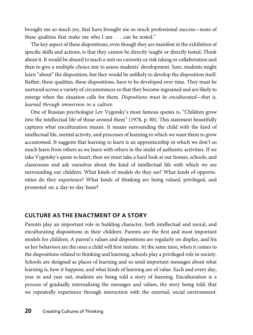brought me so much joy, that have brought me so much professional success—none of these qualities that make me who I am . . . can be tested."

The key aspect of these dispositions, even though they are manifest in the exhibition of specific skills and actions, is that they cannot be directly taught or directly tested. Think about it. It would be absurd to teach a unit on curiosity or risk taking or collaboration and then to give a multiple-choice test to assess students' development. Sure, students might learn "about" the disposition, but they would be unlikely to develop the disposition itself. Rather, these qualities, these dispositions, have to be developed over time. They must be nurtured across a variety of circumstances so that they become ingrained and are likely to emerge when the situation calls for them. Dispositions must be enculturated—that is, learned through immersion in a culture.

One of Russian psychologist Lev Vygotsky's most famous quotes is, "Children grow into the intellectual life of those around them" (1978, p. 88). This statement beautifully captures what enculturation means. It means surrounding the child with the kind of intellectual life, mental activity, and processes of learning to which we want them to grow accustomed. It suggests that learning to learn is an apprenticeship in which we don't so much learn from others as we learn with others in the midst of authentic activities. If we take Vygotsky's quote to heart, then we must take a hard look at our homes, schools, and classrooms and ask ourselves about the kind of intellectual life with which we are surrounding our children. What kinds of models do they see? What kinds of opportunities do they experience? What kinds of thinking are being valued, privileged, and promoted on a day-to-day basis?

#### **CULTURE AS THE ENACTMENT OF A STORY**

Parents play an important role in building character, both intellectual and moral, and enculturating dispositions in their children. Parents are the first and most important models for children. A parent's values and dispositions are regularly on display, and his or her behaviors are the ones a child will first imitate. At the same time, when it comes to the dispositions related to thinking and learning, schools play a privileged role in society. Schools are designed as places of learning and so send important messages about what learning is, how it happens, and what kinds of learning are of value. Each and every day, year in and year out, students are being told a story of learning. Enculturation is a process of gradually internalizing the messages and values, the story being told, that we repeatedly experience through interaction with the external, social environment.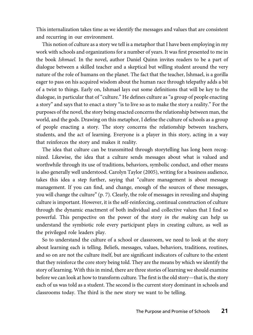This internalization takes time as we identify the messages and values that are consistent and recurring in our environment.

This notion of culture as a story we tell is a metaphor that I have been employing in my work with schools and organizations for a number of years. It was first presented to me in the book Ishmael. In the novel, author Daniel Quinn invites readers to be a part of dialogue between a skilled teacher and a skeptical but willing student around the very nature of the role of humans on the planet. The fact that the teacher, Ishmael, is a gorilla eager to pass on his acquired wisdom about the human race through telepathy adds a bit of a twist to things. Early on, Ishmael lays out some definitions that will be key to the dialogue, in particular that of "culture." He defines culture as "a group of people enacting a story" and says that to enact a story "is to live so as to make the story a reality." For the purposes of the novel, the story being enacted concerns the relationship between man, the world, and the gods. Drawing on this metaphor, I define the culture of schools as a group of people enacting a story. The story concerns the relationship between teachers, students, and the act of learning. Everyone is a player in this story, acting in a way that reinforces the story and makes it reality.

The idea that culture can be transmitted through storytelling has long been recognized. Likewise, the idea that a culture sends messages about what is valued and worthwhile through its use of traditions, behaviors, symbolic conduct, and other means is also generally well understood. Carolyn Taylor (2005), writing for a business audience, takes this idea a step further, saying that "culture management is about message management. If you can find, and change, enough of the sources of these messages, you will change the culture" (p. 7). Clearly, the role of messages in revealing and shaping culture is important. However, it is the self-reinforcing, continual construction of culture through the dynamic enactment of both individual and collective values that I find so powerful. This perspective on the power of the story in the making can help us understand the symbiotic role every participant plays in creating culture, as well as the privileged role leaders play.

So to understand the culture of a school or classroom, we need to look at the story about learning each is telling. Beliefs, messages, values, behaviors, traditions, routines, and so on are not the culture itself, but are significant indicators of culture to the extent that they reinforce the core story being told. They are the means by which we identify the story of learning. With this in mind, there are three stories of learning we should examine before we can look at how to transform culture. The first is the old story—that is, the story each of us was told as a student. The second is the current story dominant in schools and classrooms today. The third is the new story we want to be telling.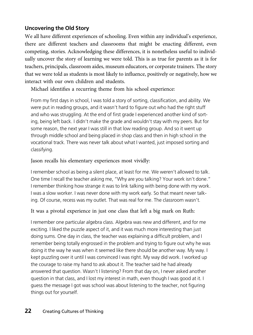## **Uncovering the Old Story**

We all have different experiences of schooling. Even within any individual's experience, there are different teachers and classrooms that might be enacting different, even competing, stories. Acknowledging these differences, it is nonetheless useful to individually uncover the story of learning we were told. This is as true for parents as it is for teachers, principals, classroom aides, museum educators, or corporate trainers. The story that we were told as students is most likely to influence, positively or negatively, how we interact with our own children and students.

Michael identifies a recurring theme from his school experience:

From my first days in school, I was told a story of sorting, classification, and ability. We were put in reading groups, and it wasn't hard to figure out who had the right stuff and who was struggling. At the end of first grade I experienced another kind of sorting, being left back. I didn't make the grade and wouldn't stay with my peers. But for some reason, the next year I was still in that low reading group. And so it went up through middle school and being placed in shop class and then in high school in the vocational track. There was never talk about what I wanted, just imposed sorting and classifying.

Jason recalls his elementary experiences most vividly:

I remember school as being a silent place, at least for me. We weren't allowed to talk. One time I recall the teacher asking me, "Why are you talking? Your work isn't done." I remember thinking how strange it was to link talking with being done with my work. I was a slow worker. I was never done with my work early. So that meant never talking. Of course, recess was my outlet. That was real for me. The classroom wasn't.

It was a pivotal experience in just one class that left a big mark on Ruth:

I remember one particular algebra class. Algebra was new and different, and for me exciting. I liked the puzzle aspect of it, and it was much more interesting than just doing sums. One day in class, the teacher was explaining a difficult problem, and I remember being totally engrossed in the problem and trying to figure out why he was doing it the way he was when it seemed like there should be another way. My way. I kept puzzling over it until I was convinced I was right. My way did work. I worked up the courage to raise my hand to ask about it. The teacher said he had already answered that question. Wasn't I listening? From that day on, I never asked another question in that class, and I lost my interest in math, even though I was good at it. I guess the message I got was school was about listening to the teacher, not figuring things out for yourself.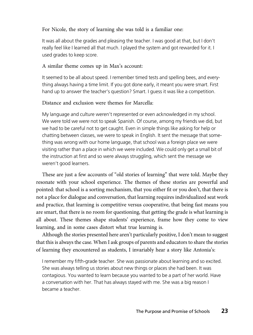For Nicole, the story of learning she was told is a familiar one:

It was all about the grades and pleasing the teacher. I was good at that, but I don't really feel like I learned all that much. I played the system and got rewarded for it. I used grades to keep score.

#### A similar theme comes up in Max's account:

It seemed to be all about speed. I remember timed tests and spelling bees, and everything always having a time limit. If you got done early, it meant you were smart. First hand up to answer the teacher's question? Smart. I guess it was like a competition.

#### Distance and exclusion were themes for Marcella:

My language and culture weren't represented or even acknowledged in my school. We were told we were not to speak Spanish. Of course, among my friends we did, but we had to be careful not to get caught. Even in simple things like asking for help or chatting between classes, we were to speak in English. It sent the message that something was wrong with our home language, that school was a foreign place we were visiting rather than a place in which we were included. We could only get a small bit of the instruction at first and so were always struggling, which sent the message we weren't good learners.

These are just a few accounts of "old stories of learning" that were told. Maybe they resonate with your school experience. The themes of these stories are powerful and pointed: that school is a sorting mechanism, that you either fit or you don't, that there is not a place for dialogue and conversation, that learning requires individualized seat work and practice, that learning is competitive versus cooperative, that being fast means you are smart, that there is no room for questioning, that getting the grade is what learning is all about. These themes shape students' experience, frame how they come to view learning, and in some cases distort what true learning is.

Although the stories presented here aren't particularly positive, I don't mean to suggest that this is always the case. When I ask groups of parents and educators to share the stories of learning they encountered as students, I invariably hear a story like Antonia's:

I remember my fifth-grade teacher. She was passionate about learning and so excited. She was always telling us stories about new things or places she had been. It was contagious. You wanted to learn because you wanted to be a part of her world. Have a conversation with her. That has always stayed with me. She was a big reason I became a teacher.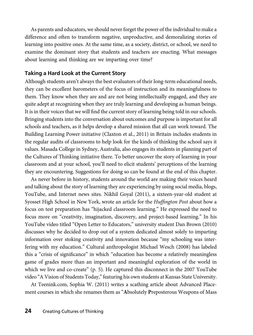As parents and educators, we should never forget the power of the individual to make a difference and often to transform negative, unproductive, and demoralizing stories of learning into positive ones. At the same time, as a society, district, or school, we need to examine the dominant story that students and teachers are enacting. What messages about learning and thinking are we imparting over time?

#### **Taking a Hard Look at the Current Story**

Although students aren't always the best evaluators of their long-term educational needs, they can be excellent barometers of the focus of instruction and its meaningfulness to them. They know when they are and are not being intellectually engaged, and they are quite adept at recognizing when they are truly learning and developing as human beings. It is in their voices that we will find the current story of learning being told in our schools. Bringing students into the conversation about outcomes and purpose is important for all schools and teachers, as it helps develop a shared mission that all can work toward. The Building Learning Power initiative (Claxton et al., 2011) in Britain includes students in the regular audits of classrooms to help look for the kinds of thinking the school says it values. Masada College in Sydney, Australia, also engages its students in planning part of the Cultures of Thinking initiative there. To better uncover the story of learning in your classroom and at your school, you'll need to elicit students' perceptions of the learning they are encountering. Suggestions for doing so can be found at the end of this chapter.

As never before in history, students around the world are making their voices heard and talking about the story of learning they are experiencing by using social media, blogs, YouTube, and Internet news sites. Nikhil Goyal (2011), a sixteen-year-old student at Syosset High School in New York, wrote an article for the *Huffington Post* about how a focus on test preparation has "hijacked classroom learning." He expressed the need to focus more on "creativity, imagination, discovery, and project-based learning." In his YouTube video titled "Open Letter to Educators," university student Dan Brown (2010) discusses why he decided to drop out of a system dedicated almost solely to imparting information over stoking creativity and innovation because "my schooling was interfering with my education." Cultural anthropologist Michael Wesch (2008) has labeled this a "crisis of significance" in which "education has become a relatively meaningless game of grades more than an important and meaningful exploration of the world in which we live and co-create" (p. 5). He captured this disconnect in the 2007 YouTube video "A Vision of Students Today,"featuring his own students at Kansas State University.

At Teenink.com, Sophia W. (2011) writes a scathing article about Advanced Placement courses in which she renames them as "**A**bsolutely **P**reposterous Weapons of Mass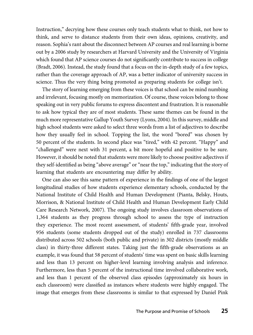Instruction," decrying how these courses only teach students what to think, not how to think, and serve to distance students from their own ideas, opinions, creativity, and reason. Sophia's rant about the disconnect between AP courses and real learning is borne out by a 2006 study by researchers at Harvard University and the University of Virginia which found that AP science courses do not significantly contribute to success in college (Bradt, 2006). Instead, the study found that a focus on the in-depth study of a few topics, rather than the coverage approach of AP, was a better indicator of university success in science. Thus the very thing being promoted as preparing students for college isn't.

The story of learning emerging from these voices is that school can be mind numbing and irrelevant, focusing mostly on memorization. Of course, these voices belong to those speaking out in very public forums to express discontent and frustration. It is reasonable to ask how typical they are of most students. These same themes can be found in the much more representative Gallup Youth Survey (Lyons, 2004). In this survey, middle and high school students were asked to select three words from a list of adjectives to describe how they usually feel in school. Topping the list, the word "bored" was chosen by 50 percent of the students. In second place was "tired," with 42 percent. "Happy" and "challenged" were next with 31 percent, a bit more hopeful and positive to be sure. However, it should be noted that students were more likely to choose positive adjectives if they self-identified as being "above average" or "near the top," indicating that the story of learning that students are encountering may differ by ability.

One can also see this same pattern of experience in the findings of one of the largest longitudinal studies of how students experience elementary schools, conducted by the National Institute of Child Health and Human Development (Pianta, Belsky, Houts, Morrison, & National Institute of Child Health and Human Development Early Child Care Research Network, 2007). The ongoing study involves classroom observations of 1,364 students as they progress through school to assess the type of instruction they experience. The most recent assessment, of students' fifth-grade year, involved 956 students (some students dropped out of the study) enrolled in 737 classrooms distributed across 502 schools (both public and private) in 302 districts (mostly middle class) in thirty-three different states. Taking just the fifth-grade observations as an example, it was found that 58 percent of students' time was spent on basic skills learning and less than 13 percent on higher-level learning involving analysis and inference. Furthermore, less than 5 percent of the instructional time involved collaborative work, and less than 1 percent of the observed class episodes (approximately six hours in each classroom) were classified as instances where students were highly engaged. The image that emerges from these classrooms is similar to that expressed by Daniel Pink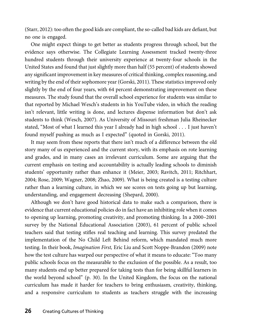(Starr, 2012): too often the good kids are compliant, the so-called bad kids are defiant, but no one is engaged.

One might expect things to get better as students progress through school, but the evidence says otherwise. The Collegiate Learning Assessment tracked twenty-three hundred students through their university experience at twenty-four schools in the United States and found that just slightly more than half (55 percent) of students showed any significant improvement in key measures of critical thinking, complex reasoning, and writing by the end of their sophomore year (Gorski, 2011). These statistics improved only slightly by the end of four years, with 64 percent demonstrating improvement on these measures. The study found that the overall school experience for students was similar to that reported by Michael Wesch's students in his YouTube video, in which the reading isn't relevant, little writing is done, and lectures dispense information but don't ask students to think (Wesch, 2007). As University of Missouri freshman Julia Rheinecker stated, "Most of what I learned this year I already had in high school . . . I just haven't found myself pushing as much as I expected" (quoted in Gorski, 2011).

It may seem from these reports that there isn't much of a difference between the old story many of us experienced and the current story, with its emphasis on rote learning and grades, and in many cases an irrelevant curriculum. Some are arguing that the current emphasis on testing and accountability is actually leading schools to diminish students' opportunity rather than enhance it (Meier, 2003; Ravitch, 2011; Ritchhart, 2004; Rose, 2009; Wagner, 2008; Zhao, 2009). What is being created is a testing culture rather than a learning culture, in which we see scores on tests going up but learning, understanding, and engagement decreasing (Shepard, 2000).

Although we don't have good historical data to make such a comparison, there is evidence that current educational policies do in fact have an inhibiting role when it comes to opening up learning, promoting creativity, and promoting thinking. In a 2000–2001 survey by the National Educational Association (2003), 61 percent of public school teachers said that testing stifles real teaching and learning. This survey predated the implementation of the No Child Left Behind reform, which mandated much more testing. In their book, Imagination First, Eric Liu and Scott Noppe-Brandon (2009) note how the test culture has warped our perspective of what it means to educate: "Too many public schools focus on the measurable to the exclusion of the possible. As a result, too many students end up better prepared for taking tests than for being skillful learners in the world beyond school" (p. 30). In the United Kingdom, the focus on the national curriculum has made it harder for teachers to bring enthusiasm, creativity, thinking, and a responsive curriculum to students as teachers struggle with the increasing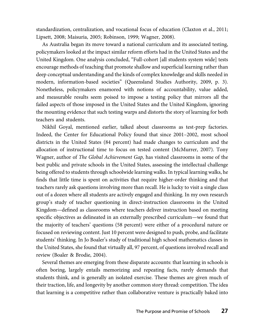standardization, centralization, and vocational focus of education (Claxton et al., 2011; Lipsett, 2008; Maisuria, 2005; Robinson, 1999; Wagner, 2008).

As Australia began its move toward a national curriculum and its associated testing, policymakers looked at the impact similar reform efforts had in the United States and the United Kingdom. One analysis concluded, "Full-cohort [all students system wide] tests encourage methods of teaching that promote shallow and superficial learning rather than deep conceptual understanding and the kinds of complex knowledge and skills needed in modern, information-based societies" (Queensland Studies Authority, 2009, p. 3). Nonetheless, policymakers enamored with notions of accountability, value added, and measurable results seem poised to impose a testing policy that mirrors all the failed aspects of those imposed in the United States and the United Kingdom, ignoring the mounting evidence that such testing warps and distorts the story of learning for both teachers and students.

Nikhil Goyal, mentioned earlier, talked about classrooms as test-prep factories. Indeed, the Center for Educational Policy found that since 2001–2002, most school districts in the United States (84 percent) had made changes to curriculum and the allocation of instructional time to focus on tested content (McMurrer, 2007). Tony Wagner, author of The Global Achievement Gap, has visited classrooms in some of the best public and private schools in the United States, assessing the intellectual challenge being offered to students through schoolwide learning walks. In typical learning walks, he finds that little time is spent on activities that require higher-order thinking and that teachers rarely ask questions involving more than recall. He is lucky to visit a single class out of a dozen where all students are actively engaged and thinking. In my own research group's study of teacher questioning in direct-instruction classrooms in the United Kingdom—defined as classrooms where teachers deliver instruction based on meeting specific objectives as delineated in an externally prescribed curriculum—we found that the majority of teachers' questions (58 percent) were either of a procedural nature or focused on reviewing content. Just 10 percent were designed to push, probe, and facilitate students' thinking. In Jo Boaler's study of traditional high school mathematics classes in the United States, she found that virtually all, 97 percent, of questions involved recall and review (Boaler & Brodie, 2004).

Several themes are emerging from these disparate accounts: that learning in schools is often boring, largely entails memorizing and repeating facts, rarely demands that students think, and is generally an isolated exercise. These themes are given much of their traction, life, and longevity by another common story thread: competition. The idea that learning is a competitive rather than collaborative venture is practically baked into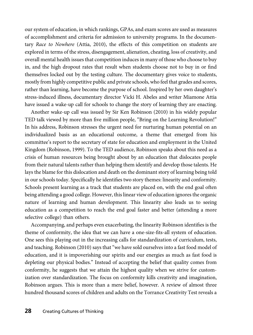our system of education, in which rankings, GPAs, and exam scores are used as measures of accomplishment and criteria for admission to university programs. In the documentary Race to Nowhere (Attia, 2010), the effects of this competition on students are explored in terms of the stress, disengagement, alienation, cheating, loss of creativity, and overall mental health issues that competition induces in many of those who choose to buy in, and the high dropout rates that result when students choose not to buy in or find themselves locked out by the testing culture. The documentary gives voice to students, mostly from highly competitive public and private schools, who feel that grades and scores, rather than learning, have become the purpose of school. Inspired by her own daughter's stress-induced illness, documentary director Vicki H. Abeles and writer Miamone Attia have issued a wake-up call for schools to change the story of learning they are enacting.

Another wake-up call was issued by Sir Ken Robinson (2010) in his widely popular TED talk viewed by more than five million people, "Bring on the Learning Revolution!" In his address, Robinson stresses the urgent need for nurturing human potential on an individualized basis as an educational outcome, a theme that emerged from his committee's report to the secretary of state for education and employment in the United Kingdom (Robinson, 1999). To the TED audience, Robinson speaks about this need as a crisis of human resources being brought about by an education that dislocates people from their natural talents rather than helping them identify and develop those talents. He lays the blame for this dislocation and death on the dominant story of learning being told in our schools today. Specifically he identifies two story themes: linearity and conformity. Schools present learning as a track that students are placed on, with the end goal often being attending a good college. However, this linear view of education ignores the organic nature of learning and human development. This linearity also leads us to seeing education as a competition to reach the end goal faster and better (attending a more selective college) than others.

Accompanying, and perhaps even exacerbating, the linearity Robinson identifies is the theme of conformity, the idea that we can have a one-size-fits-all system of education. One sees this playing out in the increasing calls for standardization of curriculum, tests, and teaching. Robinson (2010) says that "we have sold ourselves into a fast food model of education, and it is impoverishing our spirits and our energies as much as fast food is depleting our physical bodies." Instead of accepting the belief that quality comes from conformity, he suggests that we attain the highest quality when we strive for customization over standardization. The focus on conformity kills creativity and imagination, Robinson argues. This is more than a mere belief, however. A review of almost three hundred thousand scores of children and adults on the Torrance Creativity Test reveals a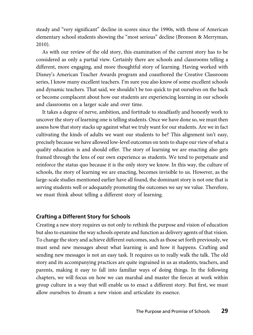steady and "very significant" decline in scores since the 1990s, with those of American elementary school students showing the "most serious" decline (Bronson & Merryman, 2010).

As with our review of the old story, this examination of the current story has to be considered as only a partial view. Certainly there are schools and classrooms telling a different, more engaging, and more thoughtful story of learning. Having worked with Disney's American Teacher Awards program and coauthored the Creative Classroom series, I know many excellent teachers. I'm sure you also know of some excellent schools and dynamic teachers. That said, we shouldn't be too quick to pat ourselves on the back or become complacent about how our students are experiencing learning in our schools and classrooms on a larger scale and over time.

It takes a degree of nerve, ambition, and fortitude to steadfastly and honestly work to uncover the story of learning one is telling students. Once we have done so, we must then assess how that story stacks up against what we truly want for our students. Are we in fact cultivating the kinds of adults we want our students to be? This alignment isn't easy, precisely because we have allowed low-level outcomes on tests to shape our view of what a quality education is and should offer. The story of learning we are enacting also gets framed through the lens of our own experience as students. We tend to perpetuate and reinforce the status quo because it is the only story we know. In this way, the culture of schools, the story of learning we are enacting, becomes invisible to us. However, as the large-scale studies mentioned earlier have all found, the dominant story is not one that is serving students well or adequately promoting the outcomes we say we value. Therefore, we must think about telling a different story of learning.

#### **Crafting a Different Story for Schools**

Creating a new story requires us not only to rethink the purpose and vision of education but also to examine the way schools operate and function as delivery agents of that vision. To change the story and achieve different outcomes, such as those set forth previously, we must send new messages about what learning is and how it happens. Crafting and sending new messages is not an easy task. It requires us to really walk the talk. The old story and its accompanying practices are quite ingrained in us as students, teachers, and parents, making it easy to fall into familiar ways of doing things. In the following chapters, we will focus on how we can marshal and master the forces at work within group culture in a way that will enable us to enact a different story. But first, we must allow ourselves to dream a new vision and articulate its essence.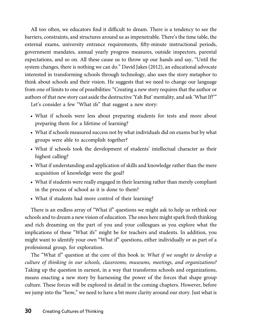All too often, we educators find it difficult to dream. There is a tendency to see the barriers, constraints, and structures around us as impenetrable. There's the time table, the external exams, university entrance requirements, fifty-minute instructional periods, government mandates, annual yearly progress measures, outside inspectors, parental expectations, and so on. All these cause us to throw up our hands and say, "Until the system changes, there is nothing we can do." David Jakes (2012), an educational advocate interested in transforming schools through technology, also uses the story metaphor to think about schools and their vision. He suggests that we need to change our language from one of limits to one of possibilities: "Creating a new story requires that the author or authors of that new story cast aside the destructive 'Yah But' mentality, and ask 'What If?'"

Let's consider a few "What ifs" that suggest a new story:

- What if schools were less about preparing students for tests and more about preparing them for a lifetime of learning?
- What if schools measured success not by what individuals did on exams but by what groups were able to accomplish together?
- What if schools took the development of students' intellectual character as their highest calling?
- What if understanding and application of skills and knowledge rather than the mere acquisition of knowledge were the goal?
- What if students were really engaged in their learning rather than merely compliant in the process of school as it is done to them?
- What if students had more control of their learning?

There is an endless array of "What if" questions we might ask to help us rethink our schools and to dream a new vision of education. The ones here might spark fresh thinking and rich dreaming on the part of you and your colleagues as you explore what the implications of these "What ifs" might be for teachers and students. In addition, you might want to identify your own "What if" questions, either individually or as part of a professional group, for exploration.

The "What if" question at the core of this book is: What if we sought to develop a culture of thinking in our schools, classrooms, museums, meetings, and organizations? Taking up the question in earnest, in a way that transforms schools and organizations, means enacting a new story by harnessing the power of the forces that shape group culture. These forces will be explored in detail in the coming chapters. However, before we jump into the "how," we need to have a bit more clarity around our story. Just what is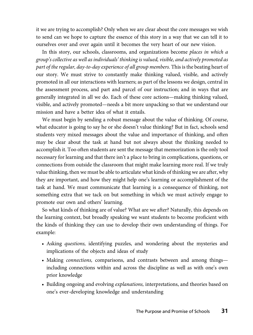it we are trying to accomplish? Only when we are clear about the core messages we wish to send can we hope to capture the essence of this story in a way that we can tell it to ourselves over and over again until it becomes the very heart of our new vision.

In this story, our schools, classrooms, and organizations become places in which a group's collective as well as individuals' thinking is valued, visible, and actively promoted as part of the regular, day-to-day experience of all group members. This is the beating heart of our story. We must strive to constantly make thinking valued, visible, and actively promoted in all our interactions with learners; as part of the lessons we design, central in the assessment process, and part and parcel of our instruction; and in ways that are generally integrated in all we do. Each of these core actions—making thinking valued, visible, and actively promoted—needs a bit more unpacking so that we understand our mission and have a better idea of what it entails.

We must begin by sending a robust message about the value of thinking. Of course, what educator is going to say he or she doesn't value thinking? But in fact, schools send students very mixed messages about the value and importance of thinking, and often may be clear about the task at hand but not always about the thinking needed to accomplish it. Too often students are sent the message that memorization is the only tool necessary for learning and that there isn't a place to bring in complications, questions, or connections from outside the classroom that might make learning more real. If we truly value thinking, then we must be able to articulate what kinds of thinking we are after, why they are important, and how they might help one's learning or accomplishment of the task at hand. We must communicate that learning is a consequence of thinking, not something extra that we tack on but something in which we must actively engage to promote our own and others' learning.

So what kinds of thinking are of value? What are we after? Naturally, this depends on the learning context, but broadly speaking we want students to become proficient with the kinds of thinking they can use to develop their own understanding of things. For example:

- Asking questions, identifying puzzles, and wondering about the mysteries and implications of the objects and ideas of study
- Making *connections*, comparisons, and contrasts between and among things including connections within and across the discipline as well as with one's own prior knowledge
- Building ongoing and evolving explanations, interpretations, and theories based on one's ever-developing knowledge and understanding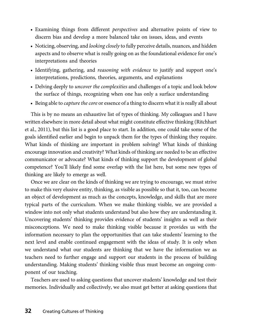- Examining things from different perspectives and alternative points of view to discern bias and develop a more balanced take on issues, ideas, and events
- Noticing, observing, and *looking closely* to fully perceive details, nuances, and hidden aspects and to observe what is really going on as the foundational evidence for one's interpretations and theories
- Identifying, gathering, and *reasoning with evidence* to justify and support one's interpretations, predictions, theories, arguments, and explanations
- Delving deeply to *uncover the complexities* and challenges of a topic and look below the surface of things, recognizing when one has only a surface understanding
- Being able to *capture the core* or essence of a thing to discern what it is really all about

This is by no means an exhaustive list of types of thinking. My colleagues and I have written elsewhere in more detail about what might constitute effective thinking (Ritchhart et al., 2011), but this list is a good place to start. In addition, one could take some of the goals identified earlier and begin to unpack them for the types of thinking they require. What kinds of thinking are important in problem solving? What kinds of thinking encourage innovation and creativity? What kinds of thinking are needed to be an effective communicator or advocate? What kinds of thinking support the development of global competence? You'll likely find some overlap with the list here, but some new types of thinking are likely to emerge as well.

Once we are clear on the kinds of thinking we are trying to encourage, we must strive to make this very elusive entity, thinking, as visible as possible so that it, too, can become an object of development as much as the concepts, knowledge, and skills that are more typical parts of the curriculum. When we make thinking visible, we are provided a window into not only what students understand but also how they are understanding it. Uncovering students' thinking provides evidence of students' insights as well as their misconceptions. We need to make thinking visible because it provides us with the information necessary to plan the opportunities that can take students' learning to the next level and enable continued engagement with the ideas of study. It is only when we understand what our students are thinking that we have the information we as teachers need to further engage and support our students in the process of building understanding. Making students' thinking visible thus must become an ongoing component of our teaching.

Teachers are used to asking questions that uncover students' knowledge and test their memories. Individually and collectively, we also must get better at asking questions that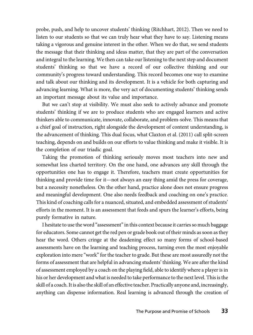probe, push, and help to uncover students' thinking (Ritchhart, 2012). Then we need to listen to our students so that we can truly hear what they have to say. Listening means taking a vigorous and genuine interest in the other. When we do that, we send students the message that their thinking and ideas matter, that they are part of the conversation and integral to the learning. We then can take our listening to the next step and document students' thinking so that we have a record of our collective thinking and our community's progress toward understanding. This record becomes one way to examine and talk about our thinking and its development. It is a vehicle for both capturing and advancing learning. What is more, the very act of documenting students' thinking sends an important message about its value and importance.

But we can't stop at visibility. We must also seek to actively advance and promote students' thinking if we are to produce students who are engaged learners and active thinkers able to communicate, innovate, collaborate, and problem-solve. This means that a chief goal of instruction, right alongside the development of content understanding, is the advancement of thinking. This dual focus, what Claxton et al. (2011) call split-screen teaching, depends on and builds on our efforts to value thinking and make it visible. It is the completion of our triadic goal.

Taking the promotion of thinking seriously moves most teachers into new and somewhat less charted territory. On the one hand, one advances any skill through the opportunities one has to engage it. Therefore, teachers must create opportunities for thinking and provide time for it—not always an easy thing amid the press for coverage, but a necessity nonetheless. On the other hand, practice alone does not ensure progress and meaningful development. One also needs feedback and coaching on one's practice. This kind of coaching calls for a nuanced, situated, and embedded assessment of students' efforts in the moment. It is an assessment that feeds and spurs the learner's efforts, being purely formative in nature.

I hesitate to use the word "assessment"in this context because it carries so much baggage for educators. Some cannot get the red pen or grade book out of their minds as soon as they hear the word. Others cringe at the deadening effect so many forms of school-based assessments have on the learning and teaching process, turning even the most enjoyable exploration into mere "work" for the teacher to grade. But these are most assuredly not the forms of assessment that are helpful in advancing students' thinking. We are after the kind of assessment employed by a coach on the playing field, able to identify where a player is in his or her development and what is needed to take performance to the next level. This is the skill of a coach. It is also the skill of an effective teacher. Practically anyone and, increasingly, anything can dispense information. Real learning is advanced through the creation of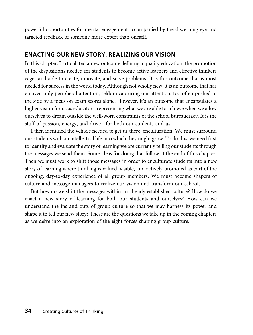powerful opportunities for mental engagement accompanied by the discerning eye and targeted feedback of someone more expert than oneself.

### **ENACTING OUR NEW STORY, REALIZING OUR VISION**

In this chapter, I articulated a new outcome defining a quality education: the promotion of the dispositions needed for students to become active learners and effective thinkers eager and able to create, innovate, and solve problems. It is this outcome that is most needed for success in the world today. Although not wholly new, it is an outcome that has enjoyed only peripheral attention, seldom capturing our attention, too often pushed to the side by a focus on exam scores alone. However, it's an outcome that encapsulates a higher vision for us as educators, representing what we are able to achieve when we allow ourselves to dream outside the well-worn constraints of the school bureaucracy. It is the stuff of passion, energy, and drive—for both our students and us.

I then identified the vehicle needed to get us there: enculturation. We must surround our students with an intellectual life into which they might grow. To do this, we need first to identify and evaluate the story of learning we are currently telling our students through the messages we send them. Some ideas for doing that follow at the end of this chapter. Then we must work to shift those messages in order to enculturate students into a new story of learning where thinking is valued, visible, and actively promoted as part of the ongoing, day-to-day experience of all group members. We must become shapers of culture and message managers to realize our vision and transform our schools.

But how do we shift the messages within an already established culture? How do we enact a new story of learning for both our students and ourselves? How can we understand the ins and outs of group culture so that we may harness its power and shape it to tell our new story? These are the questions we take up in the coming chapters as we delve into an exploration of the eight forces shaping group culture.